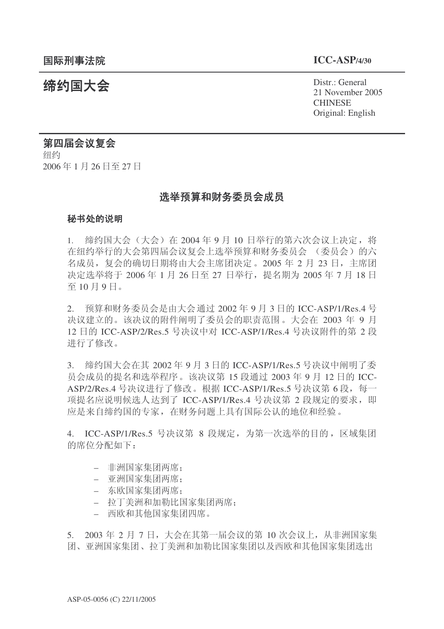21 November 2005 **CHINESE** Original: English

# 结约国大会 Pistra Distraction Present Distraction Distraction District General

### 第四届会议复会

纽约 2006年1月26日至27日

### 选举预算和财务委员会成员

#### 秘书处的说明

1. 缔约国大会(大会)在 2004年9月10日举行的第六次会议上决定,将 在纽约举行的大会第四届会议复会上选举预算和财务委员会 (委员会) 的六 名成员, 复会的确切日期将由大会主席团决定。2005年2月23日, 主席团 决定选举将于 2006年 1 月 26 日至 27 日举行, 提名期为 2005 年 7 月 18 日 至10月9日。

2. 预算和财务委员会是由大会通过 2002 年 9 月 3 日的 ICC-ASP/1/Res.4 号 决议建立的。该决议的附件阐明了委员会的职责范围。大会在 2003 年 9 月 12 日的 ICC-ASP/2/Res.5 号决议中对 ICC-ASP/1/Res.4 号决议附件的第 2 段 进行了修改。

3. 缔约国大会在其 2002年9月3日的 ICC-ASP/1/Res.5 号决议中阐明了委 员会成员的提名和选举程序。该决议第 15 段通过 2003 年 9 月 12 日的 ICC-ASP/2/Res.4 号决议进行了修改。根据 ICC-ASP/1/Res.5 号决议第 6 段, 每一 项提名应说明候选人达到了 ICC-ASP/1/Res.4 号决议第 2 段规定的要求, 即 应是来自缔约国的专家, 在财务问题上具有国际公认的地位和经验。

4. ICC-ASP/1/Res.5 号决议第 8 段规定, 为第一次选举的目的, 区域集团 的席位分配如下:

- 非洲国家集团两席:
- 亚洲国家集团两席:
- 东欧国家集团两席:
- 拉丁美洲和加勒比国家集团两席:
- 西欧和其他国家集团四席。

5. 2003年 2 月 7 日, 大会在其第一届会议的第 10 次会议上, 从非洲国家集 团、亚洲国家集团、拉丁美洲和加勒比国家集团以及西欧和其他国家集团选出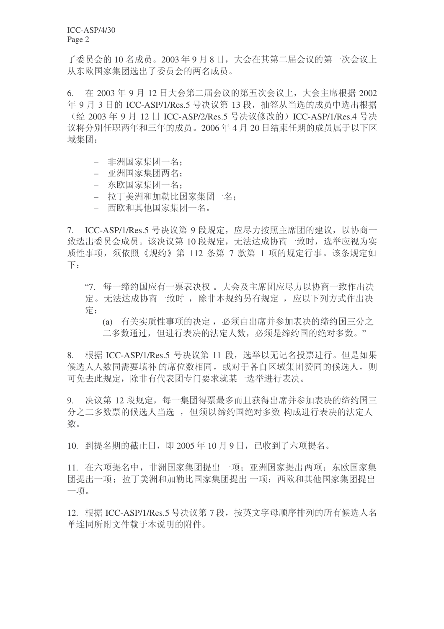了委员会的10 名成员。2003 年 9 月 8 日, 大会在其第二届会议的第一次会议上 从东欧国家集团选出了委员会的两名成员。

6. 在 2003年 9月 12 日大会第二届会议的第五次会议上, 大会主席根据 2002 年 9 月 3 日的 ICC-ASP/1/Res.5 号决议第 13 段, 抽签从当选的成员中选出根据 (经 2003 年 9 月 12 日 ICC-ASP/2/Res.5 号决议修改的) ICC-ASP/1/Res.4 号决 议将分别任职两年和三年的成员。2006年4月20日结束任期的成员属于以下区 域集团:

- 非洲国家集团一名:
- 亚洲国家集团两名:
- 东欧国家集团一名:
- 拉丁美洲和加勒比国家集团一名:
- 西欧和其他国家集团一名。

7. ICC-ASP/1/Res.5 号决议第 9 段规定, 应尽力按照主席团的建议, 以协商一 致选出委员会成员。该决议第10 段规定, 无法达成协商一致时, 选举应视为实 质性事项, 须依照《规约》第 112 条第 7 款第 1 项的规定行事。该条规定如  $\top$ :

"7. 每一缔约国应有一票表决权。大会及主席团应尽力以协商一致作出决 定。无法达成协商一致时, 除非本规约另有规定, 应以下列方式作出决 ᅮ˖

(a) 有关实质性事项的决定, 必须由出席并参加表决的缔约国三分之 二多数通过, 但进行表决的法定人数, 必须是缔约国的绝对多数。"

8. 根据 ICC-ASP/1/Res.5 号决议第 11 段, 选举以无记名投票进行。但是如果 候洗人人数同需要填补的席位数相同, 或对于各自区域集团赞同的候洗人, 则 可免去此规定, 除非有代表团专门要求就某一选举进行表决。

9. 决议第12 段规定,每一集团得票最多而且获得出席并参加表决的缔约国三 分之二多数票的候选人当选, 但须以缔约国绝对多数 构成进行表决的法定人 数。

 $10.$  到提名期的截止日, 即  $2005 \times 10$  月  $9$  日, 已收到了六项提名。

11. 在六项提名中, 非洲国家集团提出一项: 亚洲国家提出两项: 东欧国家集 团提出一项: 拉丁美洲和加勒比国家集团提出 一项: 西欧和其他国家集团提出 一项。

12. 根据 ICC-ASP/1/Res.5 号决议第 7 段, 按英文字母顺序排列的所有候选人名 单连庐所附文件载于本说明的附件。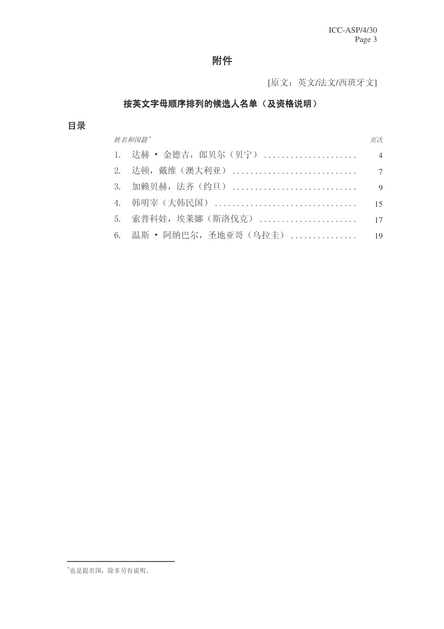### 附件

[原文: 英文/法文/西班牙文]

### 按英文字母顺序排列的候选人名单(及资格说明)

### 目录

# 姓名和国籍\* <u>World State State State State State State State State State State State State State State State State S</u> 䖒䌿 噝 䞥ᖋঢ়ˈ䚢䋱ᇨ˄䋱ᅕ˅ . . . . . . . . . . . . . . . . . . . . . . . . . .4. . . . . . 䖒乓ˈ᠈㓈˄▇߽Ѯ˅ . . . . . . . . . . . . . . . . . . . . . . . . . . . . . . . . 7 ࡴ䌪䋱䌿ˈ⊩唤˄㑺ᮺ˅ . . . . . . . . . . . . . . . . . . . . . . . . . . . . . . . . 9 䶽ᯢᆄ˄䶽⇥˅ . . . . . . . . . . . . . . . . . . . . . . . . . . . . . . . . 15 5. 索普科娃,埃莱娜 (斯洛伐克) ....................... 17 6. 温斯 • 阿纳巴尔, 圣地亚哥 (乌拉圭) ................ 19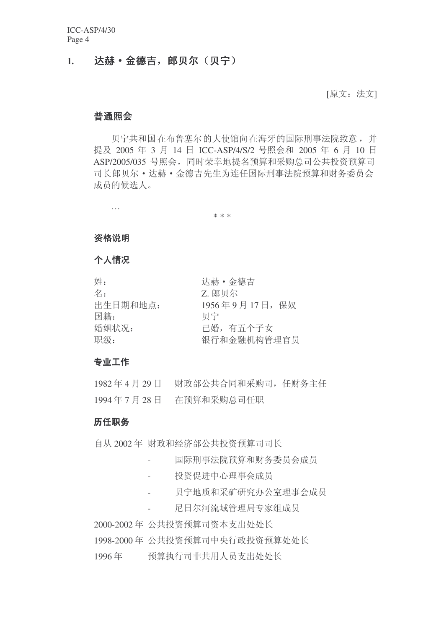### 1. 达赫·金德吉,郎贝尔(贝宁)

[原文: 法文]

### 普通照会

贝宁共和国在布鲁塞尔的大使馆向在海牙的国际刑事法院致意,并 提及 2005 年 3 月 14 日 ICC-ASP/4/S/2 号照会和 2005 年 6 月 10 日 ASP/2005/035 号照会, 同时荣幸地提名预算和采购总司公共投资预算司 司长郎贝尔•达赫•金德吉先生为连任国际刑事法院预算和财务委员会 成员的候选人。

\* \* \*

#### 资格说明

…

### 个人情况

| 姓:       | 达赫·金德吉         |
|----------|----------------|
| 名:       | Z. 郎贝尔         |
| 出生日期和地点: | 1956年9月17日, 保奴 |
| 国籍:      | 贝宁             |
| 婚姻状况:    | 已婚, 有五个子女      |
| 职级:      | 银行和金融机构管理官员    |

#### 专业工作

| 1982年4月29日 | 财政部公共合同和采购司, 任财务主任 |  |
|------------|--------------------|--|
| 1994年7月28日 | 在预算和采购总司任职         |  |

### 历任职务

自从 2002年 财政和经济部公共投资预算司司长

- 国际刑事法院预算和财务委员会成员
- 投资促进中心理事会成员
- 贝宁地质和采矿研究办公室理事会成员
- 尼日尔河流域管理局专家组成员

2000-2002 年 公共投资预算司资本支出处处长

1998-2000 年 公共投资预算司中央行政投资预算处处长

1996年 预算执行司非共用人员支出处处长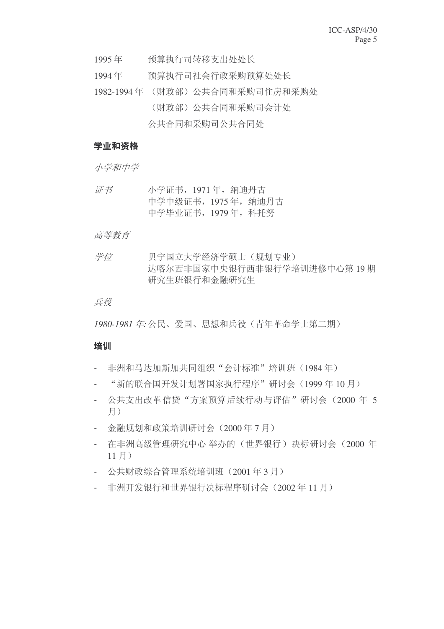- 1995年 预算执行司转移支出处处长
- 1994年 预算执行司社会行政采购预算处处长
- 1982-1994 年 (财政部) 公共合同和采购司住房和采购处 (财政部) 公共合同和采购司会计处 公共合同和采购司公共合同处

### 学业和资格

小学和中学

 $\overline{u}$  书 / 小学证书, 1971 年, 纳迪丹古 中学中级证书, 1975 年, 纳油丹古 中学毕业证书, 1979年, 科托努

### 高等教育

学位 灭宁国立大学经济学硕士(规划专业) 达喀尔西非国家中央银行西非银行学培训讲修中心第19期 研究生班银行和金融研究生

#### 兵役

1980-1981 年· 公民、爱国、思想和兵役(青年革命学十第二期)

### 培训

- 非洲和马达加斯加共同组织"会计标准"培训班(1984年)
- "新的联合国开发计划署国家执行程序"研讨会(1999年10月)
- 公共支出改革信贷"方案预算后续行动与评估"研讨会 (2000 年 5 目)
- 金融规划和政策培训研讨会 (2000年7月)
- 在非洲高级管理研究中心举办的(世界银行)决标研讨会(2000年  $11$  月 $)$
- 公共财政综合管理系统培训班 (2001年3月)
- 非洲开发银行和世界银行决标程序研讨会 (2002年11月)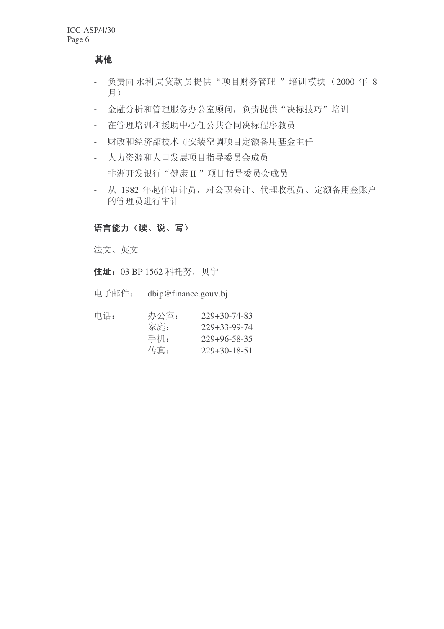其他

- 负责向水利局贷款员提供"项目财务管理"培训模块(2000年8 月)
- 金融分析和管理服务办公室顾问, 负责提供"决标技巧"培训
- 在管理培训和援助中心任公共合同决标程序教员
- 财政和经济部技术司安装空调项目定额备用基金主任
- 人力资源和人口发展项目指导委员会成员
- 非洲开发银行"健康 II "项目指导委员会成员
- 从 1982 年起任审计员, 对公职会计、代理收税员、定额备用金账户 的管理员讲行审计

### 语言能力(读、说、写)

法文、英文

住址: 03 BP 1562 科托努, 贝宁

| 电子邮件:<br>dbip@finance.gouv.bj |  |
|-------------------------------|--|
|-------------------------------|--|

| 办公室: | $229+30-74-83$       |
|------|----------------------|
| 家庭:  | $229 + 33 - 99 - 74$ |
| 手机:  | $229 + 96 - 58 - 35$ |
| 传真:  | $229 + 30 - 18 - 51$ |
|      |                      |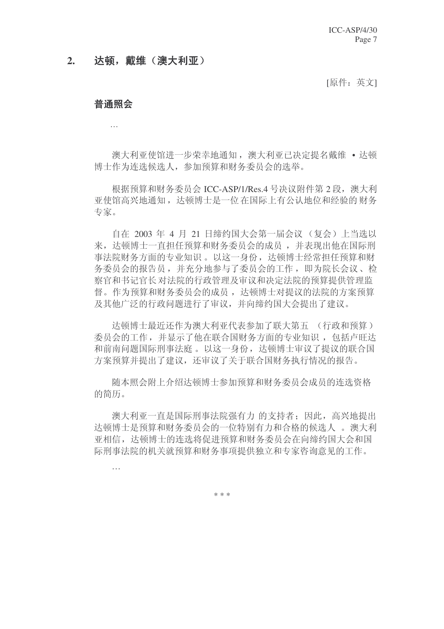### 2. 达顿, 戴维(澳大利亚)

[原件: 英文]

### **普诵昭**会

…

澳大利亚使馆进一步荣幸地通知, 澳大利亚已决定提名戴维 • 达顿 博士作为连选候选人,参加预算和财务委员会的选举。

根据预算和财务委员会 ICC-ASP/1/Res.4 号决议附件第 2 段, 澳大利 亚使馆高兴地通知, 达顿博士是一位在国际上有公认地位和经验的财务 专家。

自在 2003 年 4 月 21 日缔约国大会第一届会议 (复会) 上当选以 来, 达顿博十一直担任预算和财务委员会的成员, 并表现出他在国际刑 事法院财务方面的专业知识。以这一身份,达顿博士经常担任预算和财 务委员会的报告员, 并充分地参与了委员会的工作, 即为院长会议、检 察官和书记官长对法院的行政管理及审议和决定法院的预算提供管理监 督。作为预算和财务委员会的成员, 达顿博士对提议的法院的方案预算 及其他广泛的行政问题讲行了审议,并向缔约国大会提出了建议。

达顿博士最近还作为澳大利亚代表参加了联大第五 (行政和预算) 委员会的工作,并显示了他在联合国财务方面的专业知识,包括卢旺达 和前南问题国际刑事法庭。以这一身份, 达顿博士审议了提议的联合国 方案预算并提出了建议, 还审议了关于联合国财务执行情况的报告。

随本照会附上介绍达顿博士参加预算和财务委员会成员的连选资格 的简历。

澳大利亚一直是国际刑事法院强有力 的支持者; 因此, 高兴地提出 达顿博士是预算和财务委员会的一位特别有力和合格的候选人。 澳大利 亚相信, 达顿博士的连选将促进预算和财务委员会在向缔约国大会和国 际刑事法院的机关就预算和财务事项提供独立和专家咨询意见的工作。

…

\* \* \*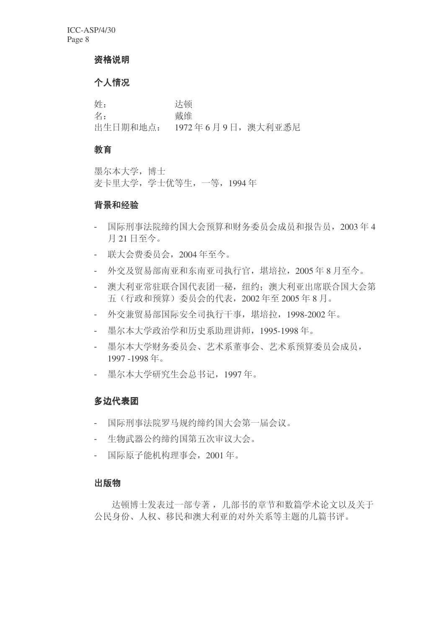#### 资格说明

### 个人情况

ྦྷ˖ 䖒乓 名: **2000** 出生日期和地点: 1972年6月9日, 澳大利亚悉尼

### 教育

墨尔本大学, 博士 麦卡里大学, 学士优等生, 一等, 1994年

### 背景和经验

- 国际刑事法院缔约国大会预算和财务委员会成员和报告员, 2003年4 月21日至今。
- 联大会费委员会, 2004年至今。
- 外交及留易部南亚和东南亚司执行官, 堪培拉,  $2005 \n\t\leq 8$  月至今。
- 澳大利亚常驻联合国代表团一秘, 纽约: 澳大利亚出席联合国大会第 五 (行政和预算) 委员会的代表, 2002 年至 2005 年 8 月。
- 外交兼贸易部国际安全司执行干事, 堪培拉, 1998-2002年。
- 墨尔本大学政治学和历史系助理讲师, 1995-1998年。
- 墨尔本大学财务委员会、艺术系董事会、艺术系预算委员会成员, 1997 -1998年。
- 墨尔本大学研究生会总书记, 1997年。

### 多边代表团

- 国际刑事法院罗马规约缔约国大会第一届会议。
- 生物武器公约缔约国第五次审议大会。
- 国际原子能机构理事会, 2001年。

### 出版物

达顿博士发表过一部专著, 几部书的童节和数篇学术论文以及关于 公民身份、人权、移民和澳大利亚的对外关系等主题的几篇书评。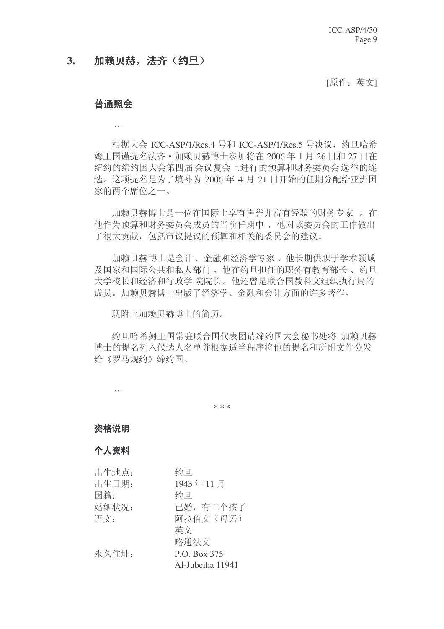### 3. 加赖贝赫, 法齐 (约旦)

[原件: 英文]

### **普诵昭会**

…

根据大会 ICC-ASP/1/Res.4 号和 ICC-ASP/1/Res.5 号决议, 约旦哈希 姆王国谨提名法齐·加赖贝赫博士参加将在 2006年1月 26 日和 27 日在 纽约的缔约国大会第四届会议复会上进行的预算和财务委员会选举的连 选。这项提名是为了填补为 2006年 4月 21 日开始的任期分配给亚洲国 家的两个席位之一。

加赖贝赫博士是一位在国际上享有声誉并富有经验的财务专家。 在 他作为预算和财务委员会成员的当前任期中, 他对该委员会的工作做出 了很大贡献, 包括审议提议的预算和相关的委员会的建议。

加赖贝赫博士是会计、金融和经济学专家。他长期供职于学术领域 及国家和国际公共和私人部门。他在约旦担任的职务有教育部长、约旦 大学校长和经济和行政学 院院长。他还曾是联合国教科文组织执行局的 成员。加赖贝赫博士出版了经济学、金融和会计方面的许多著作。

现附上加赖贝赫博士的简历。

约旦哈希姆王国常驻联合国代表团请缔约国大会秘书处将 加赖贝赫 博士的提名列入候选人名单并根据适当程序将他的提名和所附文件分发 给《罗马规约》缔约国。

…

**\* \* \***

#### 资格说明

#### 个人资料

| 出生地点: | 约旦               |
|-------|------------------|
| 出生日期: | 1943年11月         |
| 国籍:   | 约旦               |
| 婚姻状况: | 已婚,有三个孩子         |
| 语文:   | 阿拉伯文 (母语)        |
|       | 英文               |
|       | 略通法文             |
| 永久住址: | P.O. Box 375     |
|       | Al-Jubeiha 11941 |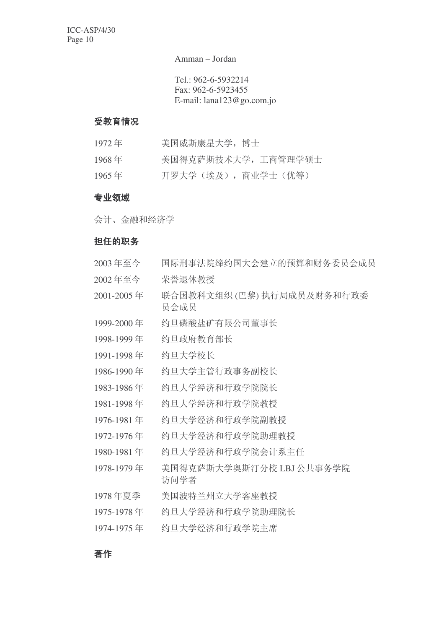Amman – Jordan

Tel.: 962-6-5932214 Fax: 962-6-5923455 E-mail: lana123@go.com.jo

### 受教育情况

| 1972年    | 美国威斯康星大学, 博士       |
|----------|--------------------|
| $1968$ 年 | 美国得克萨斯技术大学,工商管理学硕士 |
| $1965$ 年 | 开罗大学(埃及),商业学士(优等)  |

### 专业领域

会计、金融和经济学

### 担任的职务

| 2003年至今    | 国际刑事法院缔约国大会建立的预算和财务委员会成员           |
|------------|------------------------------------|
| 2002年至今    | 荣誉退休教授                             |
| 2001-2005年 | 联合国教科文组织 (巴黎) 执行局成员及财务和行政委<br>员会成员 |
| 1999-2000年 | 约旦磷酸盐矿有限公司董事长                      |
| 1998-1999年 | 约旦政府教育部长                           |
| 1991-1998年 | 约旦大学校长                             |
| 1986-1990年 | 约旦大学主管行政事务副校长                      |
| 1983-1986年 | 约旦大学经济和行政学院院长                      |
| 1981-1998年 | 约旦大学经济和行政学院教授                      |
| 1976-1981年 | 约旦大学经济和行政学院副教授                     |
| 1972-1976年 | 约旦大学经济和行政学院助理教授                    |
| 1980-1981年 | 约旦大学经济和行政学院会计系主任                   |
| 1978-1979年 | 美国得克萨斯大学奥斯汀分校 LBJ 公共事务学院<br>访问学者   |
| 1978年夏季    | 美国波特兰州立大学客座教授                      |
| 1975-1978年 | 约旦大学经济和行政学院助理院长                    |
| 1974-1975年 | 约旦大学经济和行政学院主席                      |

### 著作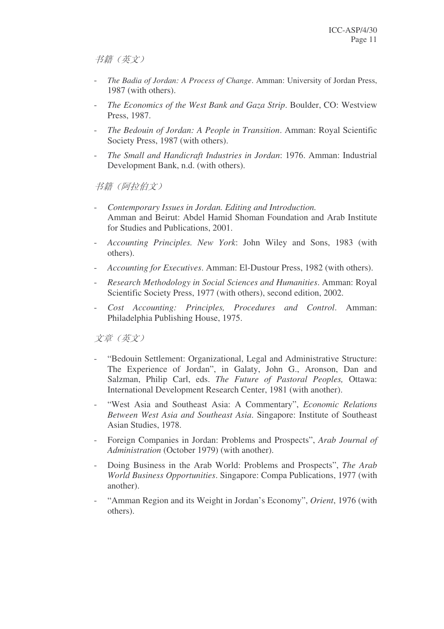书籍(英文)

- *The Badia of Jordan: A Process of Change*. Amman: University of Jordan Press, 1987 (with others).
- *The Economics of the West Bank and Gaza Strip*. Boulder, CO: Westview Press, 1987.
- *The Bedouin of Jordan: A People in Transition*. Amman: Royal Scientific Society Press, 1987 (with others).
- *The Small and Handicraft Industries in Jordan*: 1976. Amman: Industrial Development Bank, n.d. (with others).

书籍(阿拉伯文)

- *Contemporary Issues in Jordan. Editing and Introduction.* Amman and Beirut: Abdel Hamid Shoman Foundation and Arab Institute for Studies and Publications, 2001.
- *Accounting Principles. New York*: John Wiley and Sons, 1983 (with others).
- *Accounting for Executives*. Amman: El-Dustour Press, 1982 (with others).
- *Research Methodology in Social Sciences and Humanities*. Amman: Royal Scientific Society Press, 1977 (with others), second edition, 2002.
- *Cost Accounting: Principles, Procedures and Control*. Amman: Philadelphia Publishing House, 1975.

文章 (英文)

- "Bedouin Settlement: Organizational, Legal and Administrative Structure: The Experience of Jordan", in Galaty, John G., Aronson, Dan and Salzman, Philip Carl, eds. *The Future of Pastoral Peoples,* Ottawa: International Development Research Center, 1981 (with another).
- "West Asia and Southeast Asia: A Commentary", *Economic Relations Between West Asia and Southeast Asia*. Singapore: Institute of Southeast Asian Studies, 1978.
- Foreign Companies in Jordan: Problems and Prospects", *Arab Journal of Administration* (October 1979) (with another).
- Doing Business in the Arab World: Problems and Prospects", *The Arab World Business Opportunities*. Singapore: Compa Publications, 1977 (with another).
- "Amman Region and its Weight in Jordan's Economy", *Orient*, 1976 (with others).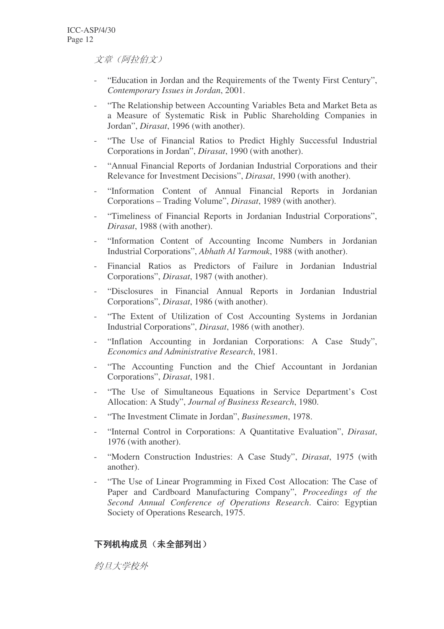文章 (阿拉伯文)

- "Education in Jordan and the Requirements of the Twenty First Century", *Contemporary Issues in Jordan*, 2001.
- "The Relationship between Accounting Variables Beta and Market Beta as a Measure of Systematic Risk in Public Shareholding Companies in Jordan", *Dirasat*, 1996 (with another).
- "The Use of Financial Ratios to Predict Highly Successful Industrial Corporations in Jordan", *Dirasat*, 1990 (with another).
- "Annual Financial Reports of Jordanian Industrial Corporations and their Relevance for Investment Decisions", *Dirasat*, 1990 (with another).
- "Information Content of Annual Financial Reports in Jordanian Corporations – Trading Volume", *Dirasat*, 1989 (with another).
- "Timeliness of Financial Reports in Jordanian Industrial Corporations", *Dirasat*, 1988 (with another).
- "Information Content of Accounting Income Numbers in Jordanian Industrial Corporations", *Abhath Al Yarmouk*, 1988 (with another).
- Financial Ratios as Predictors of Failure in Jordanian Industrial Corporations", *Dirasat*, 1987 (with another).
- "Disclosures in Financial Annual Reports in Jordanian Industrial Corporations", *Dirasat*, 1986 (with another).
- "The Extent of Utilization of Cost Accounting Systems in Jordanian Industrial Corporations", *Dirasat*, 1986 (with another).
- "Inflation Accounting in Jordanian Corporations: A Case Study", *Economics and Administrative Research*, 1981.
- "The Accounting Function and the Chief Accountant in Jordanian Corporations", *Dirasat*, 1981.
- "The Use of Simultaneous Equations in Service Department's Cost Allocation: A Study", *Journal of Business Research*, 1980.
- "The Investment Climate in Jordan", *Businessmen*, 1978.
- "Internal Control in Corporations: A Quantitative Evaluation", *Dirasat*, 1976 (with another).
- "Modern Construction Industries: A Case Study", *Dirasat*, 1975 (with another).
- "The Use of Linear Programming in Fixed Cost Allocation: The Case of Paper and Cardboard Manufacturing Company", *Proceedings of the Second Annual Conference of Operations Research*. Cairo: Egyptian Society of Operations Research, 1975.

### 下列机构成员(未全部列出)

约日大学校外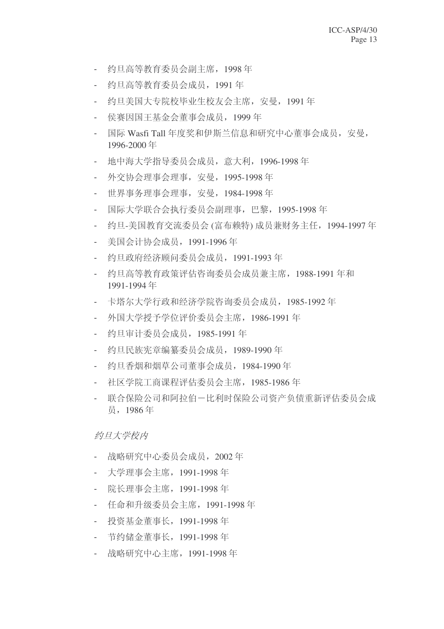- 约旦高等教育委员会副主席, 1998年
- 约旦高等教育委员会成员, 1991 年
- 约旦美国大专院校毕业生校友会主席, 安曼, 1991年
- 侯赛因国王基金会董事会成员, 1999年
- 国际 Wasfi Tall 年度奖和伊斯兰信息和研究中心董事会成员, 安曼, 1996-2000年
- 地中海大学指导委员会成员, 意大利, 1996-1998 年
- 外交协会理事会理事, 安曼, 1995-1998年
- 世界事务理事会理事, 安曼, 1984-1998 年
- 国际大学联合会执行委员会副理事, 巴黎, 1995-1998 年
- 约旦-美国教育交流委员会 (富布赖特) 成员兼财务主任, 1994-1997 年
- 美国会计协会成员, 1991-1996年
- 约旦政府经济顾问委员会成员, 1991-1993年
- 约旦高等教育政策评估咨询委员会成员兼主席, 1988-1991 年和 1991-1994年
- 卡塔尔大学行政和经济学院咨询委员会成员, 1985-1992年
- 外国大学授予学位评价委员会主席, 1986-1991 年
- 约旦审计委员会成员, 1985-1991年
- 约旦民族宪章编纂委员会成员, 1989-1990 年
- 约日香烟和烟草公司董事会成员, 1984-1990 年
- 社区学院工商课程评估委员会主席, 1985-1986 年
- 联合保险公司和阿拉伯一比利时保险公司资产负债重新评估委员会成 员, 1986年

约旦大学校内

- 战略研究中心委员会成员, 2002年
- 大学理事会主席, 1991-1998年
- 院长理事会主席, 1991-1998 年
- 仟命和升级委员会主席, 1991-1998年
- 投资基金董事长, 1991-1998年
- 节约储金董事长, 1991-1998 年
- 战略研究中心主席, 1991-1998年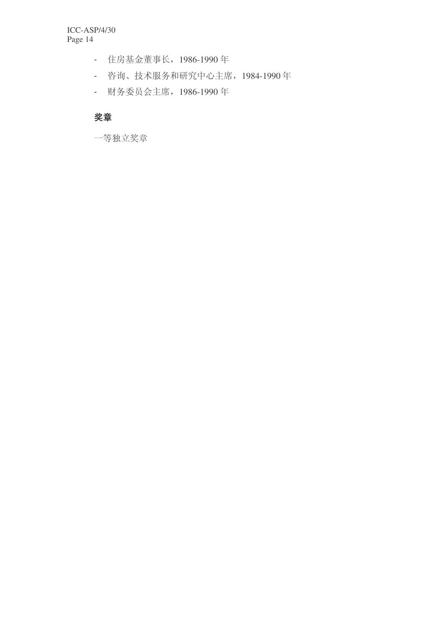- 住房基金董事长, 1986-1990年
- 咨询、技术服务和研究中心主席, 1984-1990年
- 财务委员会主席, 1986-1990年

### 奖章

一等独立奖章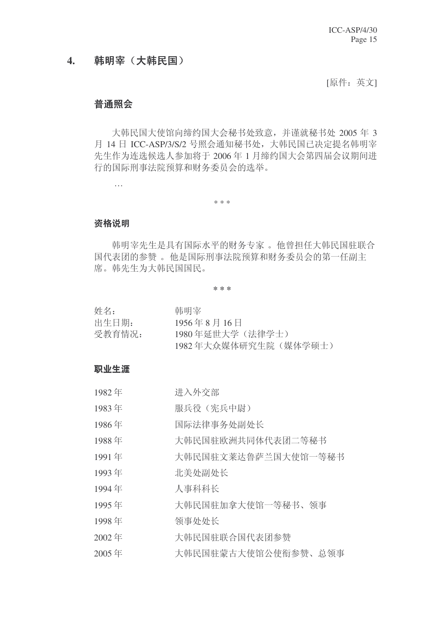### 4. 韩明宰 (大韩民国)

[原件: 英文]

### 普诵照会

大韩民国大使馆向缔约国大会秘书处致意,并谨就秘书处 2005 年 3 月 14 日 ICC-ASP/3/S/2 号照会通知秘书处, 大韩民国已决定提名韩明宰 先生作为连选候选人参加将于 2006年1月缔约国大会第四届会议期间进 行的国际刑事法院预算和财务委员会的选举。

\* \* \*

#### 资格说明

…

韩明宰先生是具有国际水平的财务专家。他曾担任大韩民国驻联合 国代表团的参赞。他是国际刑事法院预算和财务委员会的第一任副主 席。韩先生为大韩民国国民。

**\* \* \***

| 姓名:    | 韩明室                                    |
|--------|----------------------------------------|
| 出生日期:  | $1956 \n\equiv 8 \n\equiv 16 \n\equiv$ |
| 受教育情况: | 1980年延世大学(法律学士)                        |
|        | 1982年大众媒体研究生院(媒体学硕士)                   |

#### 职业生涯

| 1982年 | 进入外交部               |
|-------|---------------------|
| 1983年 | 服兵役(宪兵中尉)           |
| 1986年 | 国际法律事务处副处长          |
| 1988年 | 大韩民国驻欧洲共同体代表团二等秘书   |
| 1991年 | 大韩民国驻文莱达鲁萨兰国大使馆一等秘书 |
| 1993年 | 北美处副处长              |
| 1994年 | 人事科科长               |
| 1995年 | 大韩民国驻加拿大使馆一等秘书、领事   |
| 1998年 | 领事处处长               |
| 2002年 | 大韩民国驻联合国代表团参赞       |
|       |                     |

2005年 大韩民国驻蒙古大使馆公使衔参赞、总领事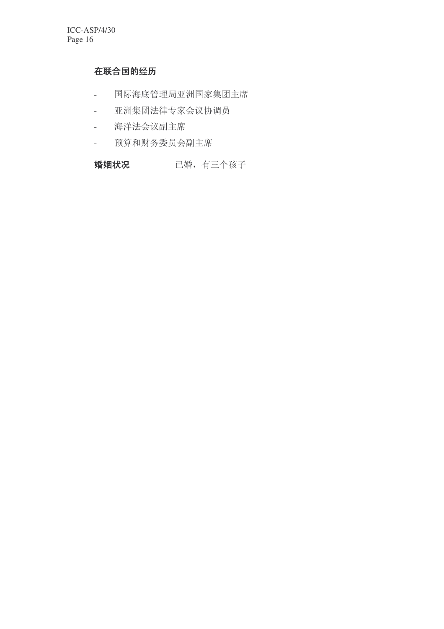## 在联合国的经历

- 国际海底管理局亚洲国家集团主席
- 亚洲集团法律专家会议协调员
- 海洋法会议副主席
- 预算和财务委员会副主席

### 婚姻状况 已婚, 有三个孩子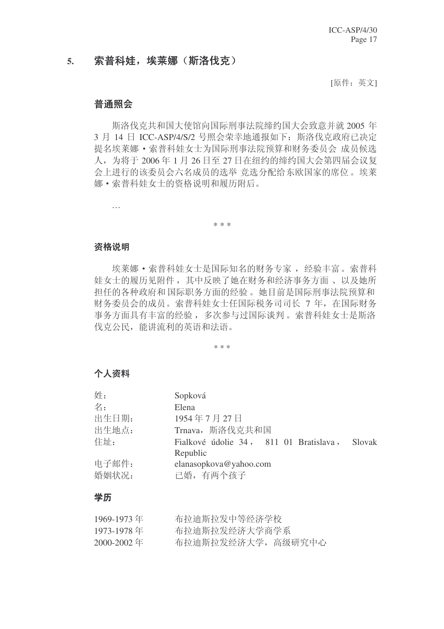### 5. 索普科娃,埃莱娜(斯洛伐克)

[原件:英文]

### 普诵照会

斯洛伐克共和国大使馆向国际刑事法院缔约国大会致意并就 2005 年 3 月 14 日 ICC-ASP/4/S/2 号照会荣幸地通报如下: 斯洛伐克政府已决定 提名埃莱娜 • 索普科娃女士为国际刑事法院预算和财务委员会 成员候选 人, 为将于 2006年1月 26 日至 27 日在纽约的缔约国大会第四届会议复 会上进行的该委员会六名成员的选举 竞选分配给东欧国家的席位。埃莱 娜·索普科娃女士的资格说明和履历附后。

\* \* \*

#### 资格说明

…

埃莱娜 • 索普科娃女士是国际知名的财务专家, 经验丰富。索普科 娃女士的履历见附件, 其中反映了她在财务和经济事务方面、以及她所 担任的各种政府和国际职务方面的经验。她目前是国际刑事法院预算和 财务委员会的成员。索普科娃女十仟国际税务司司长 7 年, 在国际财务 事务方面具有丰富的经验,多次参与过国际谈判。索普科娃女士是斯洛 伐克公民, 能讲流利的英语和法语。

\* \* \*

### 个人资料

| 姓:    | Sopková                                          |
|-------|--------------------------------------------------|
| 名:    | Elena                                            |
| 出生日期: | 1954年7月27日                                       |
| 出生地点: | Trnava, 斯洛伐克共和国                                  |
| 住址:   | Fialkové údolie 34, 811 01 Bratislava,<br>Slovak |
|       | Republic                                         |
| 电子邮件: | elanasopkova@yahoo.com                           |
| 婚姻状况: | 已婚, 有两个孩子                                        |

### 学历

| 1969-1973年 | 布拉迪斯拉发中等经济学校       |
|------------|--------------------|
| 1973-1978年 | 布拉迪斯拉发经济大学商学系      |
| 2000-2002年 | 布拉迪斯拉发经济大学, 高级研究中心 |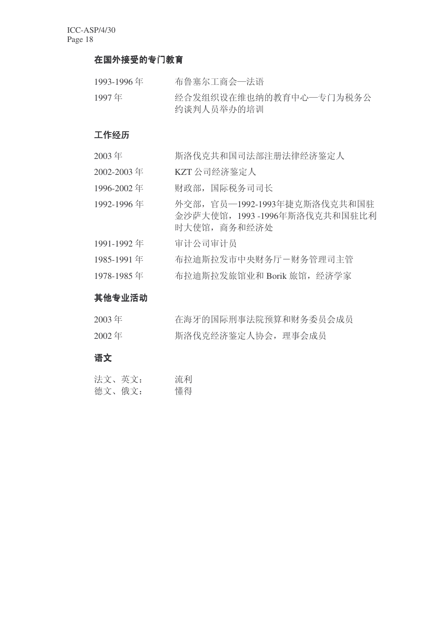### 在国外接受的专门教育

| 1993-1996年 | 布鲁塞尔工商会一法语                           |
|------------|--------------------------------------|
| 1997年      | 经合发组织设在维也纳的教育中心一专门为税务公<br>约谈判人员举办的培训 |

### 工作经历

- 2003年 原洛伐克共和国司法部注册法律经济鉴定人
- 2002-2003 年 KZT 公司经济鉴定人
- 1996-2002年 财政部,国际税务司司长
- 1992-1996 年 外交部, 官员-1992-1993年捷克斯洛伐克共和国驻 金沙萨大使馆, 1993-1996年斯洛伐克共和国驻比利 时大使馆, 商务和经济处
- 1991-1992年 审计公司审计员
- 1985-1991 年 布拉迪斯拉发市中央财务厅一财务管理司主管
- 1978-1985 年 布拉迪斯拉发旅馆业和 Borik 旅馆, 经济学家

### 其他专业活动

| $2003$ 年 | 在海牙的国际刑事法院预算和财务委员会成员 |  |
|----------|----------------------|--|
| $2002$ 年 | 斯洛伐克经济鉴定人协会, 理事会成员   |  |

### 语文

| 法文、英文: | 流利 |
|--------|----|
| 德文、俄文: | 懂得 |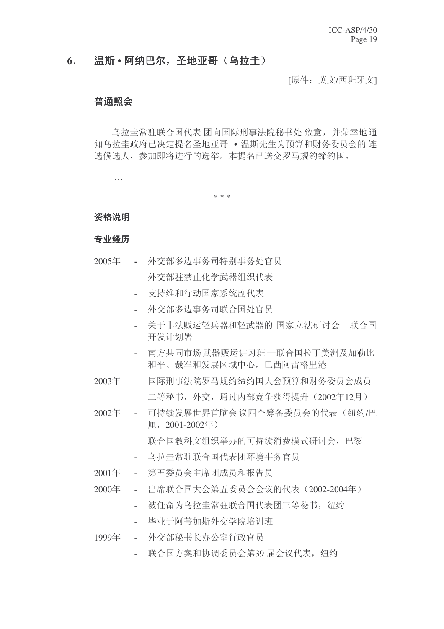### 6. 温斯·阿纳巴尔, 圣地亚哥 (乌拉圭)

[原件: 英文/西班牙文]

### 普通照会

乌拉圭常驻联合国代表 团向国际刑事法院秘书处 致意, 并荣幸地通 知乌拉圭政府已决定提名圣地亚哥 • 温斯先生为预算和财务委员会的连 选候选人,参加即将进行的选举。本提名已送交罗马规约缔约国。

\* \* \*

#### 资格说明

…

#### 专业经历

- 2005年 外交部多边事务司特别事务处官员
	- 小交部驻禁止化学武器组织代表
	- 支持维和行动国家系统副代表
	- 外交部多边事务司联合国处官员
	- 关于非法贩运轻兵器和轻武器的 国家立法研讨会一联合国 开发计划署
	- 南方共同市场武器贩运讲习班–联合国拉丁美洲及加勒比 和平、裁军和发展区域中心, 巴西阿雷格里港
- 2003年 国际刑事法院罗马规约缔约国大会预算和财务委员会成员
	- 二等秘书, 外交, 通过内部竞争获得提升 (2002年12月)
- 2002年 可持续发展世界首脑会议四个筹备委员会的代表(纽约/巴 厘,  $2001 - 2002$ 年
	- 联合国教科文组织举办的可持续消费模式研讨会, 巴黎
	- 乌拉圭常驻联合国代表团环境事务官员
- 2001年 第五委员会主席团成员和报告员
- 2000年 出席联合国大会第五委员会会议的代表 (2002-2004年)
	- 被任命为乌拉圭常驻联合国代表团三等秘书, 纽约
	- 毕业于阿蒂加斯外交学院培训班
- 1999年 外交部秘书长办公室行政官员
	- 联合国方案和协调委员会第39 届会议代表, 纽约